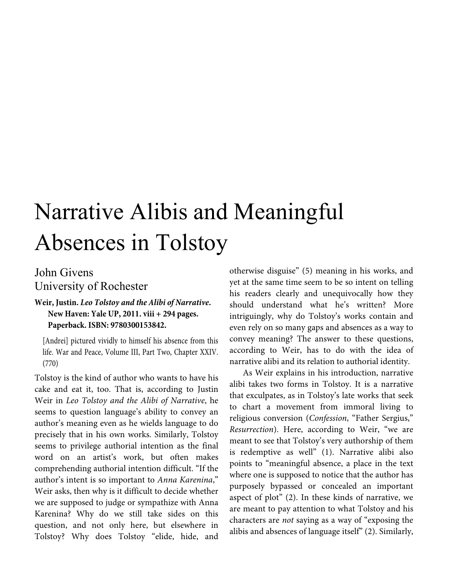## Narrative Alibis and Meaningful Absences in Tolstoy

## John Givens University of Rochester

## **Weir, Justin.** *Leo Tolstoy and the Alibi of Narrative***. New Haven: Yale UP, 2011. viii + 294 pages. Paperback. ISBN: 9780300153842.**

[Andrei] pictured vividly to himself his absence from this life. War and Peace, Volume III, Part Two, Chapter XXIV. (770)

Tolstoy is the kind of author who wants to have his cake and eat it, too. That is, according to Justin Weir in *Leo Tolstoy and the Alibi of Narrative*, he seems to question language's ability to convey an author's meaning even as he wields language to do precisely that in his own works. Similarly, Tolstoy seems to privilege authorial intention as the final word on an artist's work, but often makes comprehending authorial intention difficult. "If the author's intent is so important to *Anna Karenina*," Weir asks, then why is it difficult to decide whether we are supposed to judge or sympathize with Anna Karenina? Why do we still take sides on this question, and not only here, but elsewhere in Tolstoy? Why does Tolstoy "elide, hide, and

otherwise disguise" (5) meaning in his works, and yet at the same time seem to be so intent on telling his readers clearly and unequivocally how they should understand what he's written? More intriguingly, why do Tolstoy's works contain and even rely on so many gaps and absences as a way to convey meaning? The answer to these questions, according to Weir, has to do with the idea of narrative alibi and its relation to authorial identity.

As Weir explains in his introduction, narrative alibi takes two forms in Tolstoy. It is a narrative that exculpates, as in Tolstoy's late works that seek to chart a movement from immoral living to religious conversion (*Confession*, "Father Sergius," *Resurrection*). Here, according to Weir, "we are meant to see that Tolstoy's very authorship of them is redemptive as well" (1). Narrative alibi also points to "meaningful absence, a place in the text where one is supposed to notice that the author has purposely bypassed or concealed an important aspect of plot" (2). In these kinds of narrative, we are meant to pay attention to what Tolstoy and his characters are *not* saying as a way of "exposing the alibis and absences of language itself" (2). Similarly,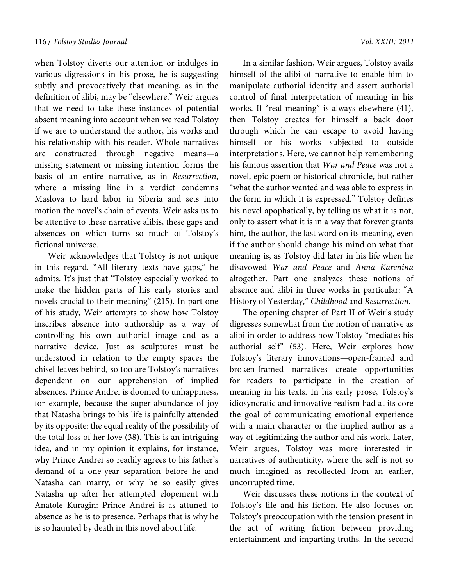when Tolstoy diverts our attention or indulges in various digressions in his prose, he is suggesting subtly and provocatively that meaning, as in the definition of alibi, may be "elsewhere." Weir argues that we need to take these instances of potential absent meaning into account when we read Tolstoy if we are to understand the author, his works and his relationship with his reader. Whole narratives are constructed through negative means—a missing statement or missing intention forms the basis of an entire narrative, as in *Resurrection*, where a missing line in a verdict condemns Maslova to hard labor in Siberia and sets into motion the novel's chain of events. Weir asks us to be attentive to these narrative alibis, these gaps and absences on which turns so much of Tolstoy's fictional universe.

Weir acknowledges that Tolstoy is not unique in this regard. "All literary texts have gaps," he admits. It's just that "Tolstoy especially worked to make the hidden parts of his early stories and novels crucial to their meaning" (215). In part one of his study, Weir attempts to show how Tolstoy inscribes absence into authorship as a way of controlling his own authorial image and as a narrative device. Just as sculptures must be understood in relation to the empty spaces the chisel leaves behind, so too are Tolstoy's narratives dependent on our apprehension of implied absences. Prince Andrei is doomed to unhappiness, for example, because the super-abundance of joy that Natasha brings to his life is painfully attended by its opposite: the equal reality of the possibility of the total loss of her love (38). This is an intriguing idea, and in my opinion it explains, for instance, why Prince Andrei so readily agrees to his father's demand of a one-year separation before he and Natasha can marry, or why he so easily gives Natasha up after her attempted elopement with Anatole Kuragin: Prince Andrei is as attuned to absence as he is to presence. Perhaps that is why he is so haunted by death in this novel about life.

In a similar fashion, Weir argues, Tolstoy avails himself of the alibi of narrative to enable him to manipulate authorial identity and assert authorial control of final interpretation of meaning in his works. If "real meaning" is always elsewhere (41), then Tolstoy creates for himself a back door through which he can escape to avoid having himself or his works subjected to outside interpretations. Here, we cannot help remembering his famous assertion that *War and Peace* was not a novel, epic poem or historical chronicle, but rather "what the author wanted and was able to express in the form in which it is expressed." Tolstoy defines his novel apophatically, by telling us what it is not, only to assert what it is in a way that forever grants him, the author, the last word on its meaning, even if the author should change his mind on what that meaning is, as Tolstoy did later in his life when he disavowed *War and Peace* and *Anna Karenina* altogether. Part one analyzes these notions of absence and alibi in three works in particular: "A History of Yesterday," *Childhood* and *Resurrection*.

The opening chapter of Part II of Weir's study digresses somewhat from the notion of narrative as alibi in order to address how Tolstoy "mediates his authorial self" (53). Here, Weir explores how Tolstoy's literary innovations—open-framed and broken-framed narratives—create opportunities for readers to participate in the creation of meaning in his texts. In his early prose, Tolstoy's idiosyncratic and innovative realism had at its core the goal of communicating emotional experience with a main character or the implied author as a way of legitimizing the author and his work. Later, Weir argues, Tolstoy was more interested in narratives of authenticity, where the self is not so much imagined as recollected from an earlier, uncorrupted time.

Weir discusses these notions in the context of Tolstoy's life and his fiction. He also focuses on Tolstoy's preoccupation with the tension present in the act of writing fiction between providing entertainment and imparting truths. In the second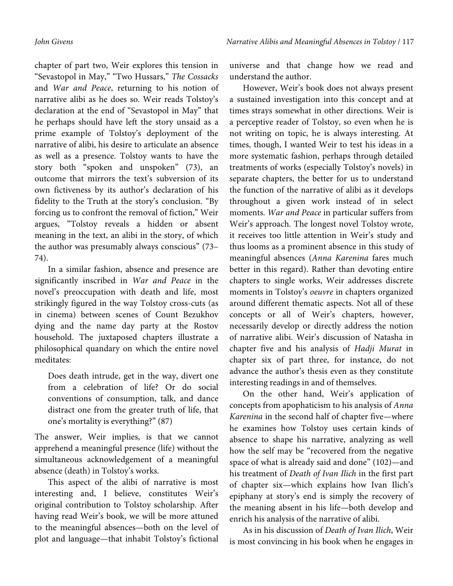chapter of part two, Weir explores this tension in "Sevastopol in May," "Two Hussars," *The Cossacks* and *War and Peace*, returning to his notion of narrative alibi as he does so. Weir reads Tolstoy's declaration at the end of "Sevastopol in May" that he perhaps should have left the story unsaid as a prime example of Tolstoy's deployment of the narrative of alibi, his desire to articulate an absence as well as a presence. Tolstoy wants to have the story both "spoken and unspoken" (73), an outcome that mirrors the text's subversion of its own fictiveness by its author's declaration of his fidelity to the Truth at the story's conclusion. "By forcing us to confront the removal of fiction," Weir argues, "Tolstoy reveals a hidden or absent meaning in the text, an alibi in the story, of which the author was presumably always conscious" (73– 74).

In a similar fashion, absence and presence are significantly inscribed in *War and Peace* in the novel's preoccupation with death and life, most strikingly figured in the way Tolstoy cross-cuts (as in cinema) between scenes of Count Bezukhov dying and the name day party at the Rostov household. The juxtaposed chapters illustrate a philosophical quandary on which the entire novel meditates:

Does death intrude, get in the way, divert one from a celebration of life? Or do social conventions of consumption, talk, and dance distract one from the greater truth of life, that one's mortality is everything?" (87)

The answer, Weir implies, is that we cannot apprehend a meaningful presence (life) without the simultaneous acknowledgement of a meaningful absence (death) in Tolstoy's works.

This aspect of the alibi of narrative is most interesting and, I believe, constitutes Weir's original contribution to Tolstoy scholarship. After having read Weir's book, we will be more attuned to the meaningful absences—both on the level of plot and language—that inhabit Tolstoy's fictional

universe and that change how we read and understand the author.

However, Weir's book does not always present a sustained investigation into this concept and at times strays somewhat in other directions. Weir is a perceptive reader of Tolstoy, so even when he is not writing on topic, he is always interesting. At times, though, I wanted Weir to test his ideas in a more systematic fashion, perhaps through detailed treatments of works (especially Tolstoy's novels) in separate chapters, the better for us to understand the function of the narrative of alibi as it develops throughout a given work instead of in select moments. *War and Peace* in particular suffers from Weir's approach. The longest novel Tolstoy wrote, it receives too little attention in Weir's study and thus looms as a prominent absence in this study of meaningful absences (*Anna Karenina* fares much better in this regard). Rather than devoting entire chapters to single works, Weir addresses discrete moments in Tolstoy's *oeuvre* in chapters organized around different thematic aspects. Not all of these concepts or all of Weir's chapters, however, necessarily develop or directly address the notion of narrative alibi. Weir's discussion of Natasha in chapter five and his analysis of *Hadji Murat* in chapter six of part three, for instance, do not advance the author's thesis even as they constitute interesting readings in and of themselves.

On the other hand, Weir's application of concepts from apophaticism to his analysis of *Anna Karenina* in the second half of chapter five—where he examines how Tolstoy uses certain kinds of absence to shape his narrative, analyzing as well how the self may be "recovered from the negative space of what is already said and done" (102)—and his treatment of *Death of Ivan Ilich* in the first part of chapter six—which explains how Ivan Ilich's epiphany at story's end is simply the recovery of the meaning absent in his life—both develop and enrich his analysis of the narrative of alibi.

As in his discussion of *Death of Ivan Ilich*, Weir is most convincing in his book when he engages in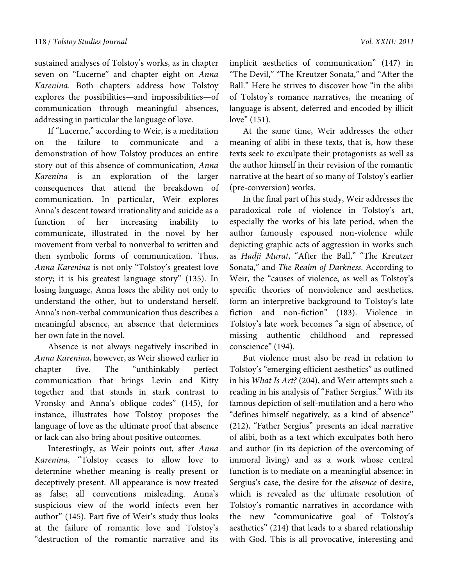sustained analyses of Tolstoy's works, as in chapter seven on "Lucerne" and chapter eight on *Anna Karenina*. Both chapters address how Tolstoy explores the possibilities—and impossibilities—of communication through meaningful absences, addressing in particular the language of love.

If "Lucerne," according to Weir, is a meditation on the failure to communicate and a demonstration of how Tolstoy produces an entire story out of this absence of communication, *Anna Karenina* is an exploration of the larger consequences that attend the breakdown of communication. In particular, Weir explores Anna's descent toward irrationality and suicide as a function of her increasing inability to communicate, illustrated in the novel by her movement from verbal to nonverbal to written and then symbolic forms of communication. Thus, *Anna Karenina* is not only "Tolstoy's greatest love story; it is his greatest language story" (135). In losing language, Anna loses the ability not only to understand the other, but to understand herself. Anna's non-verbal communication thus describes a meaningful absence, an absence that determines her own fate in the novel.

Absence is not always negatively inscribed in *Anna Karenina*, however, as Weir showed earlier in chapter five. The "unthinkably perfect communication that brings Levin and Kitty together and that stands in stark contrast to Vronsky and Anna's oblique codes" (145), for instance, illustrates how Tolstoy proposes the language of love as the ultimate proof that absence or lack can also bring about positive outcomes.

Interestingly, as Weir points out, after *Anna Karenina*, "Tolstoy ceases to allow love to determine whether meaning is really present or deceptively present. All appearance is now treated as false; all conventions misleading. Anna's suspicious view of the world infects even her author" (145). Part five of Weir's study thus looks at the failure of romantic love and Tolstoy's "destruction of the romantic narrative and its

implicit aesthetics of communication" (147) in "The Devil," "The Kreutzer Sonata," and "After the Ball." Here he strives to discover how "in the alibi of Tolstoy's romance narratives, the meaning of language is absent, deferred and encoded by illicit love" (151).

At the same time, Weir addresses the other meaning of alibi in these texts, that is, how these texts seek to exculpate their protagonists as well as the author himself in their revision of the romantic narrative at the heart of so many of Tolstoy's earlier (pre-conversion) works.

In the final part of his study, Weir addresses the paradoxical role of violence in Tolstoy's art, especially the works of his late period, when the author famously espoused non-violence while depicting graphic acts of aggression in works such as *Hadji Murat*, "After the Ball," "The Kreutzer Sonata," and *The Realm of Darkness*. According to Weir, the "causes of violence, as well as Tolstoy's specific theories of nonviolence and aesthetics, form an interpretive background to Tolstoy's late fiction and non-fiction" (183). Violence in Tolstoy's late work becomes "a sign of absence, of missing authentic childhood and repressed conscience" (194).

But violence must also be read in relation to Tolstoy's "emerging efficient aesthetics" as outlined in his *What Is Art?* (204), and Weir attempts such a reading in his analysis of "Father Sergius." With its famous depiction of self-mutilation and a hero who "defines himself negatively, as a kind of absence" (212), "Father Sergius" presents an ideal narrative of alibi, both as a text which exculpates both hero and author (in its depiction of the overcoming of immoral living) and as a work whose central function is to mediate on a meaningful absence: in Sergius's case, the desire for the *absence* of desire, which is revealed as the ultimate resolution of Tolstoy's romantic narratives in accordance with the new "communicative goal of Tolstoy's aesthetics" (214) that leads to a shared relationship with God. This is all provocative, interesting and